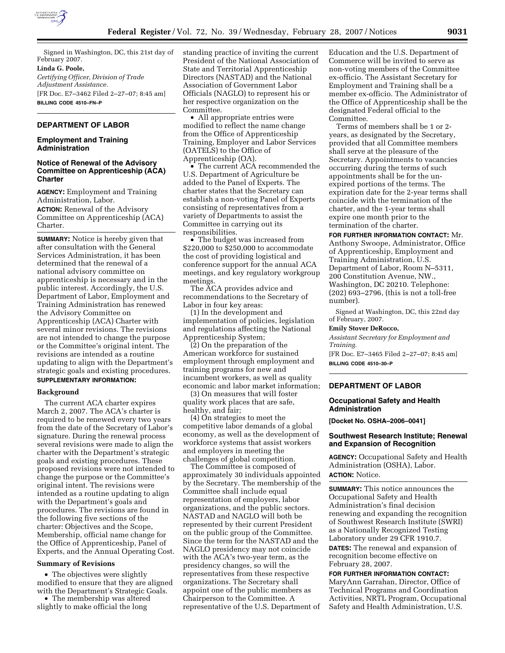

Signed in Washington, DC, this 21st day of February 2007.

## **Linda G. Poole,**

*Certifying Officer, Division of Trade Adjustment Assistance.*  [FR Doc. E7–3462 Filed 2–27–07; 8:45 am] **BILLING CODE 4510–FN–P** 

## **DEPARTMENT OF LABOR**

### **Employment and Training Administration**

## **Notice of Renewal of the Advisory Committee on Apprenticeship (ACA) Charter**

**AGENCY:** Employment and Training Administration, Labor.

**ACTION:** Renewal of the Advisory Committee on Apprenticeship (ACA) Charter.

**SUMMARY:** Notice is hereby given that after consultation with the General Services Administration, it has been determined that the renewal of a national advisory committee on apprenticeship is necessary and in the public interest. Accordingly, the U.S. Department of Labor, Employment and Training Administration has renewed the Advisory Committee on Apprenticeship (ACA) Charter with several minor revisions. The revisions are not intended to change the purpose or the Committee's original intent. The revisions are intended as a routine updating to align with the Department's strategic goals and existing procedures. **SUPPLEMENTARY INFORMATION:** 

#### **Background**

The current ACA charter expires March 2, 2007. The ACA's charter is required to be renewed every two years from the date of the Secretary of Labor's signature. During the renewal process several revisions were made to align the charter with the Department's strategic goals and existing procedures. These proposed revisions were not intended to change the purpose or the Committee's original intent. The revisions were intended as a routine updating to align with the Department's goals and procedures. The revisions are found in the following five sections of the charter: Objectives and the Scope, Membership, official name change for the Office of Apprenticeship, Panel of Experts, and the Annual Operating Cost.

### **Summary of Revisions**

• The objectives were slightly modified to ensure that they are aligned with the Department's Strategic Goals.

• The membership was altered slightly to make official the long

standing practice of inviting the current President of the National Association of State and Territorial Apprenticeship Directors (NASTAD) and the National Association of Government Labor Officials (NAGLO) to represent his or her respective organization on the Committee.

• All appropriate entries were modified to reflect the name change from the Office of Apprenticeship Training, Employer and Labor Services (OATELS) to the Office of Apprenticeship (OA).

• The current ACA recommended the U.S. Department of Agriculture be added to the Panel of Experts. The charter states that the Secretary can establish a non-voting Panel of Experts consisting of representatives from a variety of Departments to assist the Committee in carrying out its responsibilities.

• The budget was increased from \$220,000 to \$250,000 to accommodate the cost of providing logistical and conference support for the annual ACA meetings, and key regulatory workgroup meetings.

The ACA provides advice and recommendations to the Secretary of Labor in four key areas:

(1) In the development and implementation of policies, legislation and regulations affecting the National Apprenticeship System;

(2) On the preparation of the American workforce for sustained employment through employment and training programs for new and incumbent workers, as well as quality economic and labor market information;

(3) On measures that will foster quality work places that are safe, healthy, and fair;

(4) On strategies to meet the competitive labor demands of a global economy, as well as the development of workforce systems that assist workers and employers in meeting the challenges of global competition.

The Committee is composed of approximately 30 individuals appointed by the Secretary. The membership of the Committee shall include equal representation of employers, labor organizations, and the public sectors. NASTAD and NAGLO will both be represented by their current President on the public group of the Committee. Since the term for the NASTAD and the NAGLO presidency may not coincide with the ACA's two-year term, as the presidency changes, so will the representatives from these respective organizations. The Secretary shall appoint one of the public members as Chairperson to the Committee. A representative of the U.S. Department of

Education and the U.S. Department of Commerce will be invited to serve as non-voting members of the Committee ex-officio. The Assistant Secretary for Employment and Training shall be a member ex-officio. The Administrator of the Office of Apprenticeship shall be the designated Federal official to the Committee.

Terms of members shall be 1 or 2 years, as designated by the Secretary, provided that all Committee members shall serve at the pleasure of the Secretary. Appointments to vacancies occurring during the terms of such appointments shall be for the unexpired portions of the terms. The expiration date for the 2-year terms shall coincide with the termination of the charter, and the 1-year terms shall expire one month prior to the termination of the charter.

**FOR FURTHER INFORMATION CONTACT:** Mr. Anthony Swoope, Administrator, Office of Apprenticeship, Employment and Training Administration, U.S. Department of Labor, Room N–5311, 200 Constitution Avenue, NW., Washington, DC 20210. Telephone: (202) 693–2796, (this is not a toll-free number).

Signed at Washington, DC, this 22nd day of February, 2007.

#### **Emily Stover DeRocco,**

*Assistant Secretary for Employment and Training.*  [FR Doc. E7–3465 Filed 2–27–07; 8:45 am]

**BILLING CODE 4510–30–P** 

# **DEPARTMENT OF LABOR**

### **Occupational Safety and Health Administration**

**[Docket No. OSHA–2006–0041]** 

### **Southwest Research Institute; Renewal and Expansion of Recognition**

**AGENCY:** Occupational Safety and Health Administration (OSHA), Labor. **ACTION:** Notice.

**SUMMARY:** This notice announces the Occupational Safety and Health Administration's final decision renewing and expanding the recognition of Southwest Research Institute (SWRI) as a Nationally Recognized Testing Laboratory under 29 CFR 1910.7. **DATES:** The renewal and expansion of recognition become effective on

February 28, 2007.

**FOR FURTHER INFORMATION CONTACT:**  MaryAnn Garrahan, Director, Office of Technical Programs and Coordination Activities, NRTL Program, Occupational Safety and Health Administration, U.S.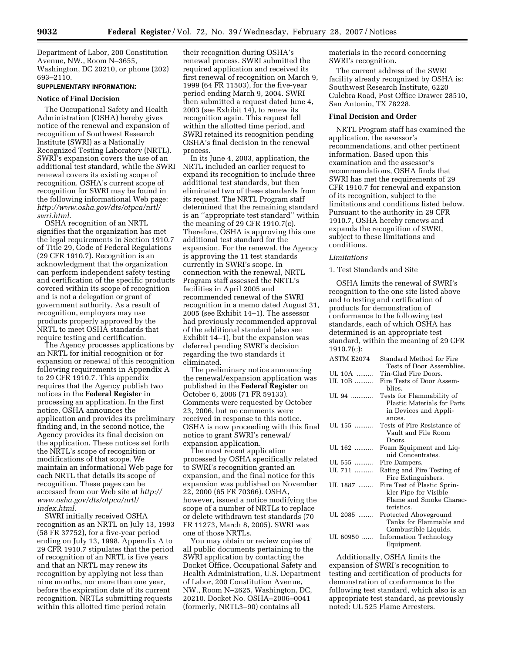Department of Labor, 200 Constitution Avenue, NW., Room N–3655, Washington, DC 20210, or phone (202) 693–2110.

## **SUPPLEMENTARY INFORMATION:**

#### **Notice of Final Decision**

The Occupational Safety and Health Administration (OSHA) hereby gives notice of the renewal and expansion of recognition of Southwest Research Institute (SWRI) as a Nationally Recognized Testing Laboratory (NRTL). SWRI's expansion covers the use of an additional test standard, while the SWRI renewal covers its existing scope of recognition. OSHA's current scope of recognition for SWRI may be found in the following informational Web page: *http://www.osha.gov/dts/otpca/nrtl/ swri.html.* 

OSHA recognition of an NRTL signifies that the organization has met the legal requirements in Section 1910.7 of Title 29, Code of Federal Regulations (29 CFR 1910.7). Recognition is an acknowledgment that the organization can perform independent safety testing and certification of the specific products covered within its scope of recognition and is not a delegation or grant of government authority. As a result of recognition, employers may use products properly approved by the NRTL to meet OSHA standards that require testing and certification.

The Agency processes applications by an NRTL for initial recognition or for expansion or renewal of this recognition following requirements in Appendix A to 29 CFR 1910.7. This appendix requires that the Agency publish two notices in the **Federal Register** in processing an application. In the first notice, OSHA announces the application and provides its preliminary finding and, in the second notice, the Agency provides its final decision on the application. These notices set forth the NRTL's scope of recognition or modifications of that scope. We maintain an informational Web page for each NRTL that details its scope of recognition. These pages can be accessed from our Web site at *http:// www.osha.gov/dts/otpca/nrtl/ index.html.* 

SWRI initially received OSHA recognition as an NRTL on July 13, 1993 (58 FR 37752), for a five-year period ending on July 13, 1998. Appendix A to 29 CFR 1910.7 stipulates that the period of recognition of an NRTL is five years and that an NRTL may renew its recognition by applying not less than nine months, nor more than one year, before the expiration date of its current recognition. NRTLs submitting requests within this allotted time period retain

their recognition during OSHA's renewal process. SWRI submitted the required application and received its first renewal of recognition on March 9, 1999 (64 FR 11503), for the five-year period ending March 9, 2004. SWRI then submitted a request dated June 4, 2003 (see Exhibit 14), to renew its recognition again. This request fell within the allotted time period, and SWRI retained its recognition pending OSHA's final decision in the renewal process.

In its June 4, 2003, application, the NRTL included an earlier request to expand its recognition to include three additional test standards, but then eliminated two of these standards from its request. The NRTL Program staff determined that the remaining standard is an ''appropriate test standard'' within the meaning of 29 CFR 1910.7(c). Therefore, OSHA is approving this one additional test standard for the expansion. For the renewal, the Agency is approving the 11 test standards currently in SWRI's scope. In connection with the renewal, NRTL Program staff assessed the NRTL's facilities in April 2005 and recommended renewal of the SWRI recognition in a memo dated August 31, 2005 (see Exhibit 14–1). The assessor had previously recommended approval of the additional standard (also see Exhibit 14–1), but the expansion was deferred pending SWRI's decision regarding the two standards it eliminated.

The preliminary notice announcing the renewal/expansion application was published in the **Federal Register** on October 6, 2006 (71 FR 59133). Comments were requested by October 23, 2006, but no comments were received in response to this notice. OSHA is now proceeding with this final notice to grant SWRI's renewal/ expansion application.

The most recent application processed by OSHA specifically related to SWRI's recognition granted an expansion, and the final notice for this expansion was published on November 22, 2000 (65 FR 70366). OSHA, however, issued a notice modifying the scope of a number of NRTLs to replace or delete withdrawn test standards (70 FR 11273, March 8, 2005). SWRI was one of those NRTLs.

You may obtain or review copies of all public documents pertaining to the SWRI application by contacting the Docket Office, Occupational Safety and Health Administration, U.S. Department of Labor, 200 Constitution Avenue, NW., Room N–2625, Washington, DC, 20210. Docket No. OSHA–2006–0041 (formerly, NRTL3–90) contains all

materials in the record concerning SWRI's recognition.

The current address of the SWRI facility already recognized by OSHA is: Southwest Research Institute, 6220 Culebra Road, Post Office Drawer 28510, San Antonio, TX 78228.

### **Final Decision and Order**

NRTL Program staff has examined the application, the assessor's recommendations, and other pertinent information. Based upon this examination and the assessor's recommendations, OSHA finds that SWRI has met the requirements of 29 CFR 1910.7 for renewal and expansion of its recognition, subject to the limitations and conditions listed below. Pursuant to the authority in 29 CFR 1910.7, OSHA hereby renews and expands the recognition of SWRI, subject to these limitations and conditions.

### *Limitations*

### 1. Test Standards and Site

OSHA limits the renewal of SWRI's recognition to the one site listed above and to testing and certification of products for demonstration of conformance to the following test standards, each of which OSHA has determined is an appropriate test standard, within the meaning of 29 CFR 1910.7(c):

| ASTM E2074 | Standard Method for Fire<br>Tests of Door Assemblies. |
|------------|-------------------------------------------------------|
| UL 10A ……… | Tin-Clad Fire Doors.                                  |
|            |                                                       |
| UL 10B     | Fire Tests of Door Assem-<br>blies.                   |
| UL 94      | Tests for Flammability of                             |
|            | Plastic Materials for Parts                           |
|            | in Devices and Appli-                                 |
|            | ances.                                                |
| UL 155     | Tests of Fire Resistance of                           |
|            | Vault and File Room                                   |
|            | Doors.                                                |
| UL 162     | Foam Equipment and Liq-                               |
|            | uid Concentrates.                                     |
| UL 555     | Fire Dampers.                                         |
| UL 711     | Rating and Fire Testing of                            |
|            | Fire Extinguishers.                                   |
| UL 1887    | Fire Test of Plastic Sprin-                           |
|            | kler Pipe for Visible                                 |
|            | Flame and Smoke Charac-                               |
|            | teristics.                                            |
| UL 2085    |                                                       |
|            | Protected Aboveground                                 |
|            | Tanks for Flammable and                               |
|            | Combustible Liquids.                                  |
| UL 60950   | Information Technology                                |
|            | Equipment.                                            |
|            |                                                       |

Additionally, OSHA limits the expansion of SWRI's recognition to testing and certification of products for demonstration of conformance to the following test standard, which also is an appropriate test standard, as previously noted: UL 525 Flame Arresters.